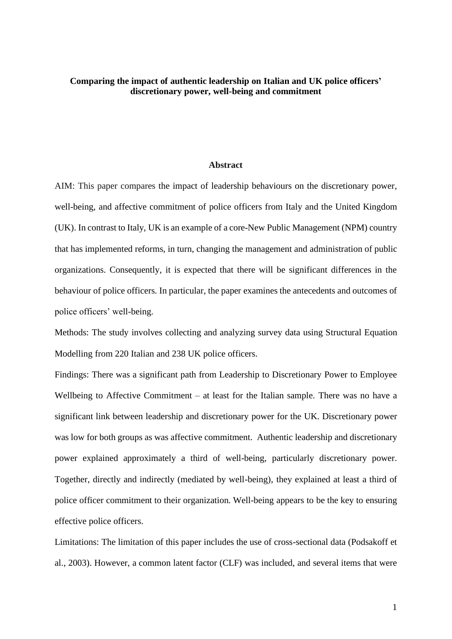### **Comparing the impact of authentic leadership on Italian and UK police officers' discretionary power, well-being and commitment**

#### **Abstract**

AIM: This paper compares the impact of leadership behaviours on the discretionary power, well-being, and affective commitment of police officers from Italy and the United Kingdom (UK). In contrast to Italy, UK is an example of a core-New Public Management (NPM) country that has implemented reforms, in turn, changing the management and administration of public organizations. Consequently, it is expected that there will be significant differences in the behaviour of police officers. In particular, the paper examines the antecedents and outcomes of police officers' well-being.

Methods: The study involves collecting and analyzing survey data using Structural Equation Modelling from 220 Italian and 238 UK police officers.

Findings: There was a significant path from Leadership to Discretionary Power to Employee Wellbeing to Affective Commitment – at least for the Italian sample. There was no have a significant link between leadership and discretionary power for the UK. Discretionary power was low for both groups as was affective commitment. Authentic leadership and discretionary power explained approximately a third of well-being, particularly discretionary power. Together, directly and indirectly (mediated by well-being), they explained at least a third of police officer commitment to their organization. Well-being appears to be the key to ensuring effective police officers.

Limitations: The limitation of this paper includes the use of cross-sectional data (Podsakoff et al., 2003). However, a common latent factor (CLF) was included, and several items that were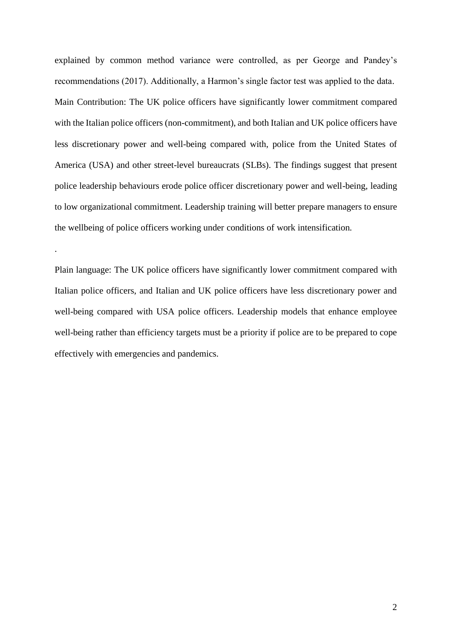explained by common method variance were controlled, as per George and Pandey's recommendations (2017). Additionally, a Harmon's single factor test was applied to the data. Main Contribution: The UK police officers have significantly lower commitment compared with the Italian police officers (non-commitment), and both Italian and UK police officers have less discretionary power and well-being compared with, police from the United States of America (USA) and other street-level bureaucrats (SLBs). The findings suggest that present police leadership behaviours erode police officer discretionary power and well-being, leading to low organizational commitment. Leadership training will better prepare managers to ensure the wellbeing of police officers working under conditions of work intensification.

Plain language: The UK police officers have significantly lower commitment compared with Italian police officers, and Italian and UK police officers have less discretionary power and well-being compared with USA police officers. Leadership models that enhance employee well-being rather than efficiency targets must be a priority if police are to be prepared to cope effectively with emergencies and pandemics.

.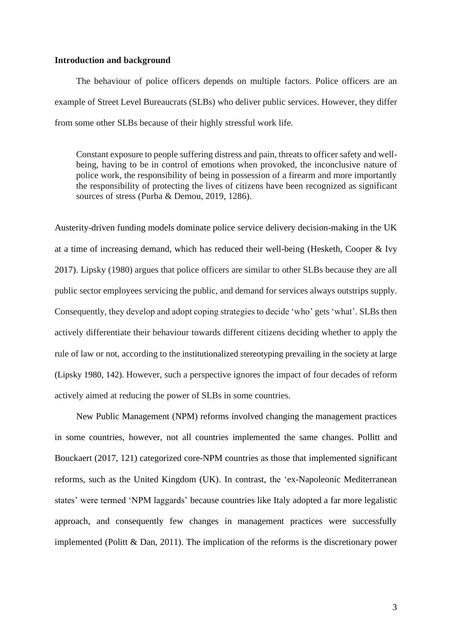#### **Introduction and background**

The behaviour of police officers depends on multiple factors. Police officers are an example of Street Level Bureaucrats (SLBs) who deliver public services. However, they differ from some other SLBs because of their highly stressful work life.

Constant exposure to people suffering distress and pain, threats to officer safety and wellbeing, having to be in control of emotions when provoked, the inconclusive nature of police work, the responsibility of being in possession of a firearm and more importantly the responsibility of protecting the lives of citizens have been recognized as significant sources of stress (Purba & Demou, 2019, 1286).

Austerity-driven funding models dominate police service delivery decision-making in the UK at a time of increasing demand, which has reduced their well-being (Hesketh, Cooper & Ivy 2017). Lipsky (1980) argues that police officers are similar to other SLBs because they are all public sector employees servicing the public, and demand for services always outstrips supply. Consequently, they develop and adopt coping strategies to decide 'who' gets 'what'. SLBs then actively differentiate their behaviour towards different citizens deciding whether to apply the rule of law or not, according to the institutionalized stereotyping prevailing in the society at large (Lipsky 1980, 142). However, such a perspective ignores the impact of four decades of reform actively aimed at reducing the power of SLBs in some countries.

New Public Management (NPM) reforms involved changing the management practices in some countries, however, not all countries implemented the same changes. Pollitt and Bouckaert (2017, 121) categorized core-NPM countries as those that implemented significant reforms, such as the United Kingdom (UK). In contrast, the 'ex-Napoleonic Mediterranean states' were termed 'NPM laggards' because countries like Italy adopted a far more legalistic approach, and consequently few changes in management practices were successfully implemented (Politt & Dan, 2011). The implication of the reforms is the discretionary power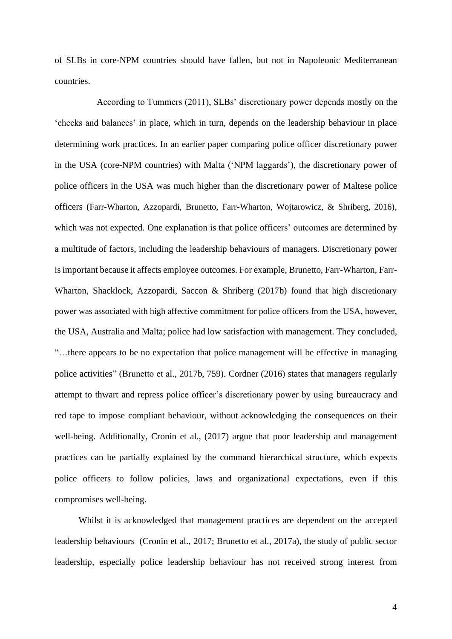of SLBs in core-NPM countries should have fallen, but not in Napoleonic Mediterranean countries.

 According to Tummers (2011), SLBs' discretionary power depends mostly on the 'checks and balances' in place, which in turn, depends on the leadership behaviour in place determining work practices. In an earlier paper comparing police officer discretionary power in the USA (core-NPM countries) with Malta ('NPM laggards'), the discretionary power of police officers in the USA was much higher than the discretionary power of Maltese police officers (Farr-Wharton, Azzopardi, Brunetto, Farr-Wharton, Wojtarowicz, & Shriberg, 2016), which was not expected. One explanation is that police officers' outcomes are determined by a multitude of factors, including the leadership behaviours of managers. Discretionary power is important because it affects employee outcomes. For example, Brunetto, Farr-Wharton, Farr-Wharton, Shacklock, Azzopardi, Saccon & Shriberg (2017b) found that high discretionary power was associated with high affective commitment for police officers from the USA, however, the USA, Australia and Malta; police had low satisfaction with management. They concluded, "…there appears to be no expectation that police management will be effective in managing police activities" (Brunetto et al., 2017b, 759). Cordner (2016) states that managers regularly attempt to thwart and repress police officer's discretionary power by using bureaucracy and red tape to impose compliant behaviour, without acknowledging the consequences on their well-being. Additionally, Cronin et al., (2017) argue that poor leadership and management practices can be partially explained by the command hierarchical structure, which expects police officers to follow policies, laws and organizational expectations, even if this compromises well-being.

Whilst it is acknowledged that management practices are dependent on the accepted leadership behaviours (Cronin et al., 2017; Brunetto et al., 2017a), the study of public sector leadership, especially police leadership behaviour has not received strong interest from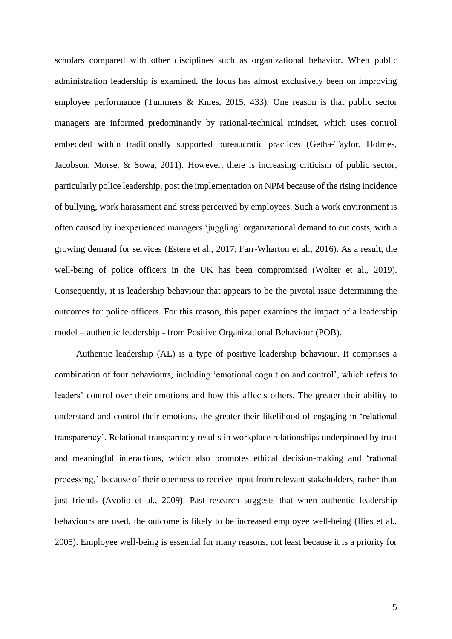scholars compared with other disciplines such as organizational behavior. When public administration leadership is examined, the focus has almost exclusively been on improving employee performance (Tummers & Knies, 2015, 433). One reason is that public sector managers are informed predominantly by rational-technical mindset, which uses control embedded within traditionally supported bureaucratic practices (Getha-Taylor, Holmes, Jacobson, Morse, & Sowa, 2011). However, there is increasing criticism of public sector, particularly police leadership, post the implementation on NPM because of the rising incidence of bullying, work harassment and stress perceived by employees. Such a work environment is often caused by inexperienced managers 'juggling' organizational demand to cut costs, with a growing demand for services (Estere et al., 2017; Farr-Wharton et al., 2016). As a result, the well-being of police officers in the UK has been compromised (Wolter et al., 2019). Consequently, it is leadership behaviour that appears to be the pivotal issue determining the outcomes for police officers. For this reason, this paper examines the impact of a leadership model – authentic leadership - from Positive Organizational Behaviour (POB).

Authentic leadership (AL) is a type of positive leadership behaviour. It comprises a combination of four behaviours, including 'emotional cognition and control', which refers to leaders' control over their emotions and how this affects others. The greater their ability to understand and control their emotions, the greater their likelihood of engaging in 'relational transparency'. Relational transparency results in workplace relationships underpinned by trust and meaningful interactions, which also promotes ethical decision-making and 'rational processing,' because of their openness to receive input from relevant stakeholders, rather than just friends (Avolio et al., 2009). Past research suggests that when authentic leadership behaviours are used, the outcome is likely to be increased employee well-being (Ilies et al., 2005). Employee well-being is essential for many reasons, not least because it is a priority for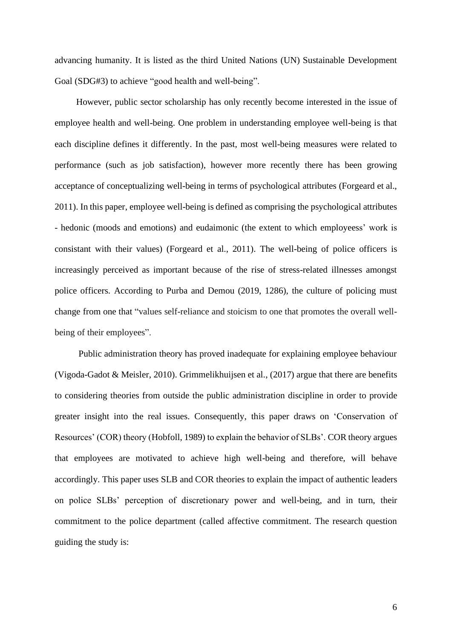advancing humanity. It is listed as the third United Nations (UN) Sustainable Development Goal (SDG#3) to achieve "good health and well-being".

However, public sector scholarship has only recently become interested in the issue of employee health and well-being. One problem in understanding employee well-being is that each discipline defines it differently. In the past, most well-being measures were related to performance (such as job satisfaction), however more recently there has been growing acceptance of conceptualizing well-being in terms of psychological attributes (Forgeard et al., 2011). In this paper, employee well-being is defined as comprising the psychological attributes - hedonic (moods and emotions) and eudaimonic (the extent to which employeess' work is consistant with their values) (Forgeard et al., 2011). The well-being of police officers is increasingly perceived as important because of the rise of stress-related illnesses amongst police officers. According to Purba and Demou (2019, 1286), the culture of policing must change from one that "values self-reliance and stoicism to one that promotes the overall wellbeing of their employees".

Public administration theory has proved inadequate for explaining employee behaviour (Vigoda-Gadot & Meisler, 2010). Grimmelikhuijsen et al., (2017) argue that there are benefits to considering theories from outside the public administration discipline in order to provide greater insight into the real issues. Consequently, this paper draws on 'Conservation of Resources' (COR) theory (Hobfoll, 1989) to explain the behavior of SLBs'. COR theory argues that employees are motivated to achieve high well-being and therefore, will behave accordingly. This paper uses SLB and COR theories to explain the impact of authentic leaders on police SLBs' perception of discretionary power and well-being, and in turn, their commitment to the police department (called affective commitment. The research question guiding the study is: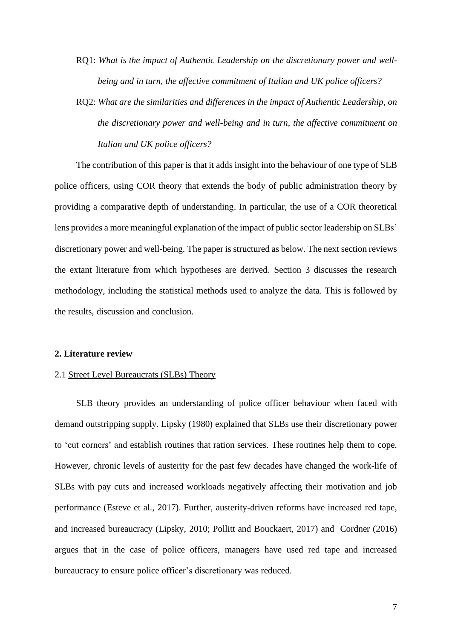- RQ1: *What is the impact of Authentic Leadership on the discretionary power and wellbeing and in turn, the affective commitment of Italian and UK police officers?*
- RQ2: *What are the similarities and differences in the impact of Authentic Leadership, on the discretionary power and well-being and in turn, the affective commitment on Italian and UK police officers?*

The contribution of this paper is that it adds insight into the behaviour of one type of SLB police officers, using COR theory that extends the body of public administration theory by providing a comparative depth of understanding. In particular, the use of a COR theoretical lens provides a more meaningful explanation of the impact of public sector leadership on SLBs' discretionary power and well-being. The paper is structured as below. The next section reviews the extant literature from which hypotheses are derived. Section 3 discusses the research methodology, including the statistical methods used to analyze the data. This is followed by the results, discussion and conclusion.

#### **2. Literature review**

#### 2.1 Street Level Bureaucrats (SLBs) Theory

SLB theory provides an understanding of police officer behaviour when faced with demand outstripping supply. Lipsky (1980) explained that SLBs use their discretionary power to 'cut corners' and establish routines that ration services. These routines help them to cope. However, chronic levels of austerity for the past few decades have changed the work-life of SLBs with pay cuts and increased workloads negatively affecting their motivation and job performance (Esteve et al., 2017). Further, austerity-driven reforms have increased red tape, and increased bureaucracy (Lipsky, 2010; Pollitt and Bouckaert, 2017) and Cordner (2016) argues that in the case of police officers, managers have used red tape and increased bureaucracy to ensure police officer's discretionary was reduced.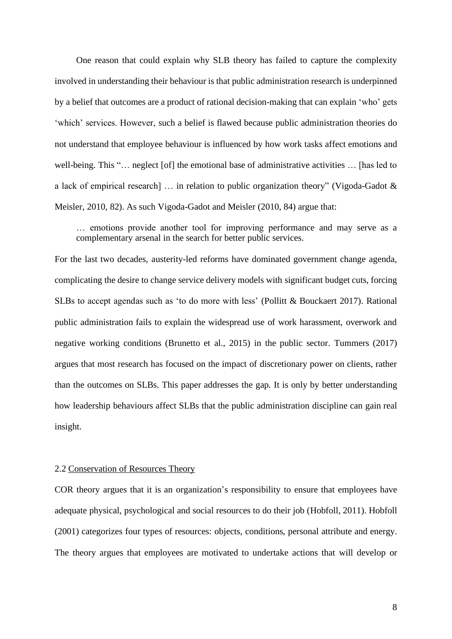One reason that could explain why SLB theory has failed to capture the complexity involved in understanding their behaviour is that public administration research is underpinned by a belief that outcomes are a product of rational decision-making that can explain 'who' gets 'which' services. However, such a belief is flawed because public administration theories do not understand that employee behaviour is influenced by how work tasks affect emotions and well-being. This "… neglect [of] the emotional base of administrative activities … [has led to a lack of empirical research] … in relation to public organization theory" (Vigoda-Gadot & Meisler, 2010, 82). As such Vigoda-Gadot and Meisler (2010, 84) argue that:

… emotions provide another tool for improving performance and may serve as a complementary arsenal in the search for better public services.

For the last two decades, austerity-led reforms have dominated government change agenda, complicating the desire to change service delivery models with significant budget cuts, forcing SLBs to accept agendas such as 'to do more with less' (Pollitt & Bouckaert 2017). Rational public administration fails to explain the widespread use of work harassment, overwork and negative working conditions (Brunetto et al., 2015) in the public sector. Tummers (2017) argues that most research has focused on the impact of discretionary power on clients, rather than the outcomes on SLBs. This paper addresses the gap. It is only by better understanding how leadership behaviours affect SLBs that the public administration discipline can gain real insight.

#### 2.2 Conservation of Resources Theory

COR theory argues that it is an organization's responsibility to ensure that employees have adequate physical, psychological and social resources to do their job (Hobfoll, 2011). Hobfoll (2001) categorizes four types of resources: objects, conditions, personal attribute and energy. The theory argues that employees are motivated to undertake actions that will develop or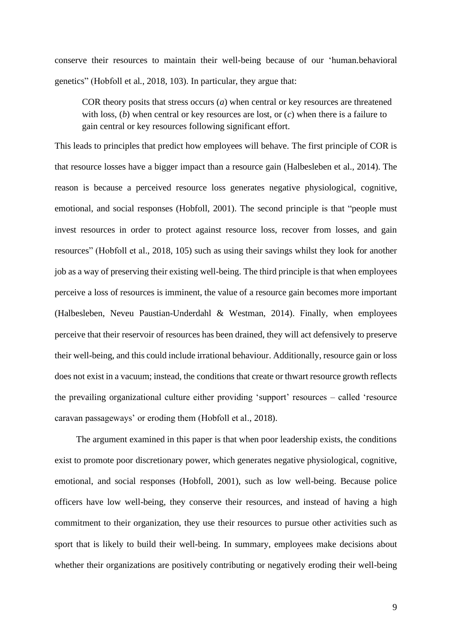conserve their resources to maintain their well-being because of our 'human.behavioral genetics" (Hobfoll et al., 2018, 103). In particular, they argue that:

COR theory posits that stress occurs (*a*) when central or key resources are threatened with loss, (*b*) when central or key resources are lost, or (*c*) when there is a failure to gain central or key resources following significant effort.

This leads to principles that predict how employees will behave. The first principle of COR is that resource losses have a bigger impact than a resource gain (Halbesleben et al., 2014). The reason is because a perceived resource loss generates negative physiological, cognitive, emotional, and social responses (Hobfoll, 2001). The second principle is that "people must invest resources in order to protect against resource loss, recover from losses, and gain resources" (Hobfoll et al., 2018, 105) such as using their savings whilst they look for another job as a way of preserving their existing well-being. The third principle is that when employees perceive a loss of resources is imminent, the value of a resource gain becomes more important (Halbesleben, Neveu Paustian-Underdahl & Westman, 2014). Finally, when employees perceive that their reservoir of resources has been drained, they will act defensively to preserve their well-being, and this could include irrational behaviour. Additionally, resource gain or loss does not exist in a vacuum; instead, the conditions that create or thwart resource growth reflects the prevailing organizational culture either providing 'support' resources – called 'resource caravan passageways' or eroding them (Hobfoll et al., 2018).

The argument examined in this paper is that when poor leadership exists, the conditions exist to promote poor discretionary power, which generates negative physiological, cognitive, emotional, and social responses (Hobfoll, 2001), such as low well-being. Because police officers have low well-being, they conserve their resources, and instead of having a high commitment to their organization, they use their resources to pursue other activities such as sport that is likely to build their well-being. In summary, employees make decisions about whether their organizations are positively contributing or negatively eroding their well-being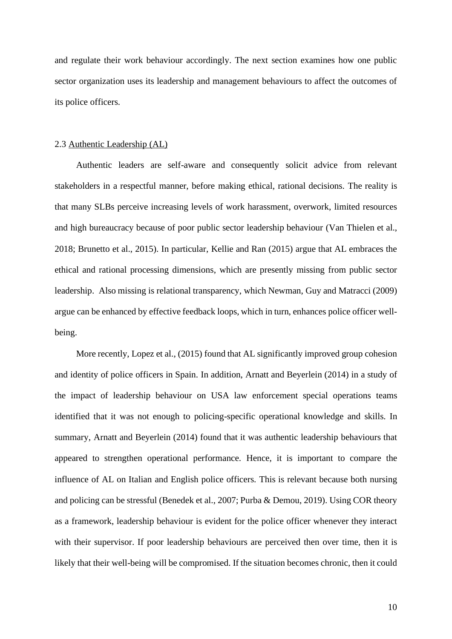and regulate their work behaviour accordingly. The next section examines how one public sector organization uses its leadership and management behaviours to affect the outcomes of its police officers.

#### 2.3 Authentic Leadership (AL)

Authentic leaders are self-aware and consequently solicit advice from relevant stakeholders in a respectful manner, before making ethical, rational decisions. The reality is that many SLBs perceive increasing levels of work harassment, overwork, limited resources and high bureaucracy because of poor public sector leadership behaviour (Van Thielen et al., 2018; Brunetto et al., 2015). In particular, Kellie and Ran (2015) argue that AL embraces the ethical and rational processing dimensions, which are presently missing from public sector leadership. Also missing is relational transparency, which Newman, Guy and Matracci (2009) argue can be enhanced by effective feedback loops, which in turn, enhances police officer wellbeing.

More recently, Lopez et al., (2015) found that AL significantly improved group cohesion and identity of police officers in Spain. In addition, Arnatt and Beyerlein (2014) in a study of the impact of leadership behaviour on USA law enforcement special operations teams identified that it was not enough to policing-specific operational knowledge and skills. In summary, Arnatt and Beyerlein (2014) found that it was authentic leadership behaviours that appeared to strengthen operational performance. Hence, it is important to compare the influence of AL on Italian and English police officers. This is relevant because both nursing and policing can be stressful (Benedek et al., 2007; Purba & Demou, 2019). Using COR theory as a framework, leadership behaviour is evident for the police officer whenever they interact with their supervisor. If poor leadership behaviours are perceived then over time, then it is likely that their well-being will be compromised. If the situation becomes chronic, then it could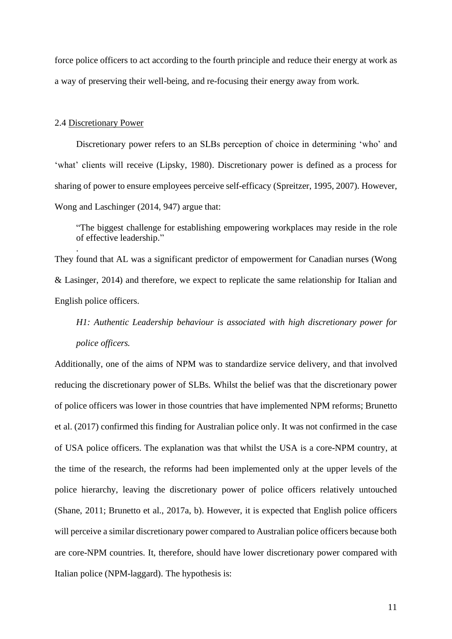force police officers to act according to the fourth principle and reduce their energy at work as a way of preserving their well-being, and re-focusing their energy away from work.

#### 2.4 Discretionary Power

.

Discretionary power refers to an SLBs perception of choice in determining 'who' and 'what' clients will receive (Lipsky, 1980). Discretionary power is defined as a process for sharing of power to ensure employees perceive self-efficacy (Spreitzer, 1995, 2007). However, Wong and Laschinger (2014, 947) argue that:

"The biggest challenge for establishing empowering workplaces may reside in the role of effective leadership."

They found that AL was a significant predictor of empowerment for Canadian nurses (Wong & Lasinger, 2014) and therefore, we expect to replicate the same relationship for Italian and English police officers.

# *H1: Authentic Leadership behaviour is associated with high discretionary power for police officers.*

Additionally, one of the aims of NPM was to standardize service delivery, and that involved reducing the discretionary power of SLBs. Whilst the belief was that the discretionary power of police officers was lower in those countries that have implemented NPM reforms; Brunetto et al. (2017) confirmed this finding for Australian police only. It was not confirmed in the case of USA police officers. The explanation was that whilst the USA is a core-NPM country, at the time of the research, the reforms had been implemented only at the upper levels of the police hierarchy, leaving the discretionary power of police officers relatively untouched (Shane, 2011; Brunetto et al., 2017a, b). However, it is expected that English police officers will perceive a similar discretionary power compared to Australian police officers because both are core-NPM countries. It, therefore, should have lower discretionary power compared with Italian police (NPM-laggard). The hypothesis is: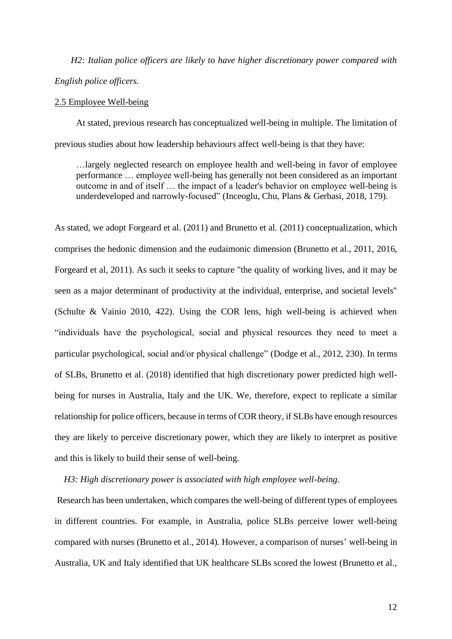*H2: Italian police officers are likely to have higher discretionary power compared with English police officers.*

#### 2.5 Employee Well-being

At stated, previous research has conceptualized well-being in multiple. The limitation of previous studies about how leadership behaviours affect well-being is that they have:

…largely neglected research on employee health and well-being in favor of employee performance … employee well-being has generally not been considered as an important outcome in and of itself … the impact of a leader's behavior on employee well-being is underdeveloped and narrowly-focused" (Inceoglu, Chu, Plans & Gerbasi, 2018, 179).

As stated, we adopt Forgeard et al. (2011) and Brunetto et al. (2011) conceptualization, which comprises the hedonic dimension and the eudaimonic dimension (Brunetto et al., 2011, 2016, Forgeard et al, 2011). As such it seeks to capture "the quality of working lives, and it may be seen as a major determinant of productivity at the individual, enterprise, and societal levels" (Schulte & Vainio 2010, 422). Using the COR lens, high well-being is achieved when "individuals have the psychological, social and physical resources they need to meet a particular psychological, social and/or physical challenge" (Dodge et al., 2012, 230). In terms of SLBs, Brunetto et al. (2018) identified that high discretionary power predicted high wellbeing for nurses in Australia, Italy and the UK. We, therefore, expect to replicate a similar relationship for police officers, because in terms of COR theory, if SLBs have enough resources they are likely to perceive discretionary power, which they are likely to interpret as positive and this is likely to build their sense of well-being.

#### *H3: High discretionary power is associated with high employee well-being.*

Research has been undertaken, which compares the well-being of different types of employees in different countries. For example, in Australia, police SLBs perceive lower well-being compared with nurses (Brunetto et al., 2014). However, a comparison of nurses' well-being in Australia, UK and Italy identified that UK healthcare SLBs scored the lowest (Brunetto et al.,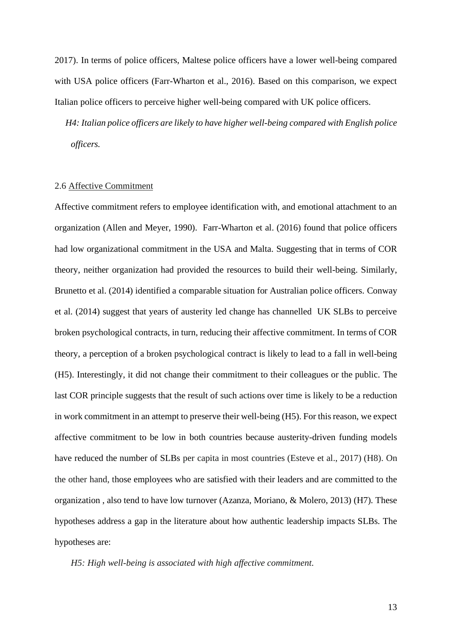2017). In terms of police officers, Maltese police officers have a lower well-being compared with USA police officers (Farr-Wharton et al., 2016). Based on this comparison, we expect Italian police officers to perceive higher well-being compared with UK police officers.

*H4: Italian police officers are likely to have higher well-being compared with English police officers.*

#### 2.6 Affective Commitment

Affective commitment refers to employee identification with, and emotional attachment to an organization (Allen and Meyer, 1990). Farr-Wharton et al. (2016) found that police officers had low organizational commitment in the USA and Malta. Suggesting that in terms of COR theory, neither organization had provided the resources to build their well-being. Similarly, Brunetto et al. (2014) identified a comparable situation for Australian police officers. Conway et al. (2014) suggest that years of austerity led change has channelled UK SLBs to perceive broken psychological contracts, in turn, reducing their affective commitment. In terms of COR theory, a perception of a broken psychological contract is likely to lead to a fall in well-being (H5). Interestingly, it did not change their commitment to their colleagues or the public. The last COR principle suggests that the result of such actions over time is likely to be a reduction in work commitment in an attempt to preserve their well-being (H5). For this reason, we expect affective commitment to be low in both countries because austerity-driven funding models have reduced the number of SLBs per capita in most countries (Esteve et al., 2017) (H8). On the other hand, those employees who are satisfied with their leaders and are committed to the organization , also tend to have low turnover (Azanza, Moriano, & Molero, 2013) (H7). These hypotheses address a gap in the literature about how authentic leadership impacts SLBs. The hypotheses are:

*H5: High well-being is associated with high affective commitment.*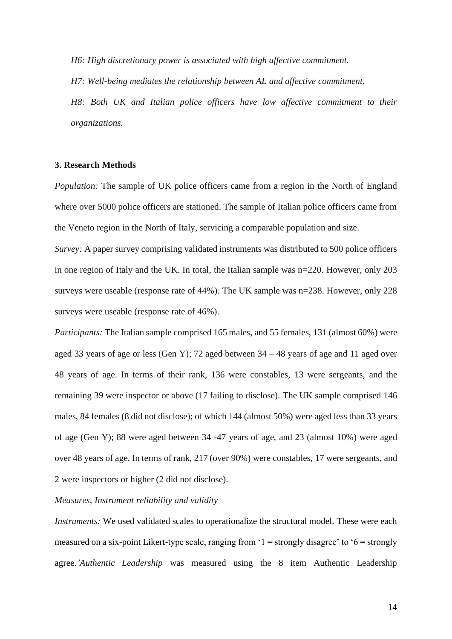*H6: High discretionary power is associated with high affective commitment.*

*H7: Well-being mediates the relationship between AL and affective commitment.* 

*H8: Both UK and Italian police officers have low affective commitment to their organizations.* 

#### **3. Research Methods**

*Population:* The sample of UK police officers came from a region in the North of England where over 5000 police officers are stationed. The sample of Italian police officers came from the Veneto region in the North of Italy, servicing a comparable population and size.

*Survey:* A paper survey comprising validated instruments was distributed to 500 police officers in one region of Italy and the UK. In total, the Italian sample was n=220. However, only 203 surveys were useable (response rate of 44%). The UK sample was n=238. However, only 228 surveys were useable (response rate of 46%).

*Participants:* The Italian sample comprised 165 males, and 55 females, 131 (almost 60%) were aged 33 years of age or less (Gen Y); 72 aged between 34 – 48 years of age and 11 aged over 48 years of age. In terms of their rank, 136 were constables, 13 were sergeants, and the remaining 39 were inspector or above (17 failing to disclose). The UK sample comprised 146 males, 84 females (8 did not disclose); of which 144 (almost 50%) were aged less than 33 years of age (Gen Y); 88 were aged between 34 -47 years of age, and 23 (almost 10%) were aged over 48 years of age. In terms of rank, 217 (over 90%) were constables, 17 were sergeants, and 2 were inspectors or higher (2 did not disclose).

#### *Measures, Instrument reliability and validity*

*Instruments:* We used validated scales to operationalize the structural model. These were each measured on a six-point Likert-type scale, ranging from  $1 =$  strongly disagree' to  $6 =$  strongly agree.*'Authentic Leadership* was measured using the 8 item Authentic Leadership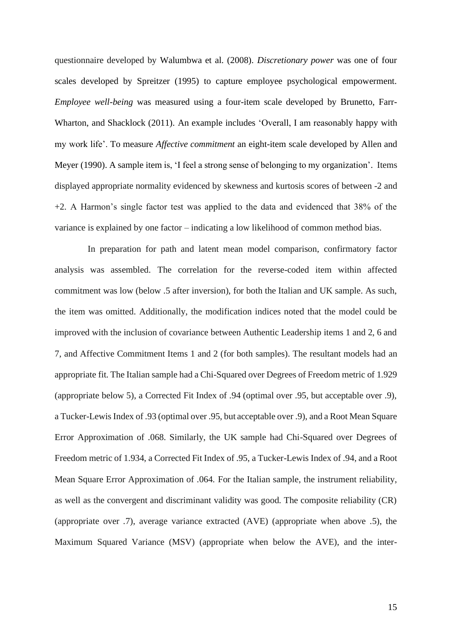questionnaire developed by Walumbwa et al. (2008). *Discretionary power* was one of four scales developed by Spreitzer (1995) to capture employee psychological empowerment. *Employee well-being* was measured using a four-item scale developed by Brunetto, Farr-Wharton, and Shacklock (2011). An example includes 'Overall, I am reasonably happy with my work life'. To measure *Affective commitment* an eight-item scale developed by Allen and Meyer (1990). A sample item is, 'I feel a strong sense of belonging to my organization'. Items displayed appropriate normality evidenced by skewness and kurtosis scores of between -2 and +2. A Harmon's single factor test was applied to the data and evidenced that 38% of the variance is explained by one factor – indicating a low likelihood of common method bias.

 In preparation for path and latent mean model comparison, confirmatory factor analysis was assembled. The correlation for the reverse-coded item within affected commitment was low (below .5 after inversion), for both the Italian and UK sample. As such, the item was omitted. Additionally, the modification indices noted that the model could be improved with the inclusion of covariance between Authentic Leadership items 1 and 2, 6 and 7, and Affective Commitment Items 1 and 2 (for both samples). The resultant models had an appropriate fit. The Italian sample had a Chi-Squared over Degrees of Freedom metric of 1.929 (appropriate below 5), a Corrected Fit Index of .94 (optimal over .95, but acceptable over .9), a Tucker-Lewis Index of .93 (optimal over .95, but acceptable over .9), and a Root Mean Square Error Approximation of .068. Similarly, the UK sample had Chi-Squared over Degrees of Freedom metric of 1.934, a Corrected Fit Index of .95, a Tucker-Lewis Index of .94, and a Root Mean Square Error Approximation of .064. For the Italian sample, the instrument reliability, as well as the convergent and discriminant validity was good. The composite reliability (CR) (appropriate over .7), average variance extracted (AVE) (appropriate when above .5), the Maximum Squared Variance (MSV) (appropriate when below the AVE), and the inter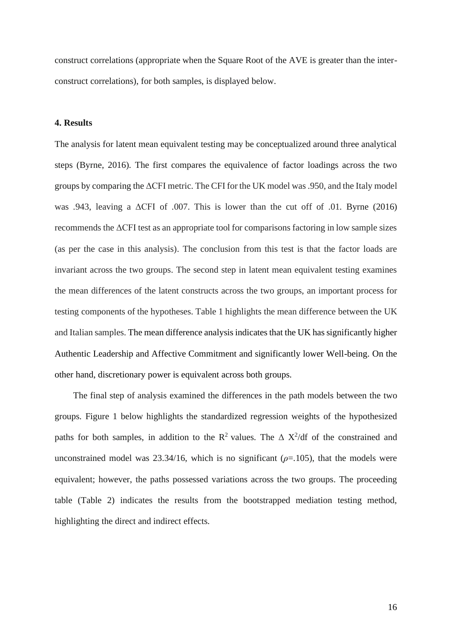construct correlations (appropriate when the Square Root of the AVE is greater than the interconstruct correlations), for both samples, is displayed below.

## **4. Results**

The analysis for latent mean equivalent testing may be conceptualized around three analytical steps (Byrne, 2016). The first compares the equivalence of factor loadings across the two groups by comparing the ΔCFI metric. The CFI for the UK model was .950, and the Italy model was .943, leaving a ΔCFI of .007. This is lower than the cut off of .01. Byrne (2016) recommends the ΔCFI test as an appropriate tool for comparisons factoring in low sample sizes (as per the case in this analysis). The conclusion from this test is that the factor loads are invariant across the two groups. The second step in latent mean equivalent testing examines the mean differences of the latent constructs across the two groups, an important process for testing components of the hypotheses. Table 1 highlights the mean difference between the UK and Italian samples. The mean difference analysis indicates that the UK has significantly higher Authentic Leadership and Affective Commitment and significantly lower Well-being. On the other hand, discretionary power is equivalent across both groups.

The final step of analysis examined the differences in the path models between the two groups. Figure 1 below highlights the standardized regression weights of the hypothesized paths for both samples, in addition to the  $R^2$  values. The  $\Delta X^2/df$  of the constrained and unconstrained model was  $23.34/16$ , which is no significant ( $\rho$ =.105), that the models were equivalent; however, the paths possessed variations across the two groups. The proceeding table (Table 2) indicates the results from the bootstrapped mediation testing method, highlighting the direct and indirect effects.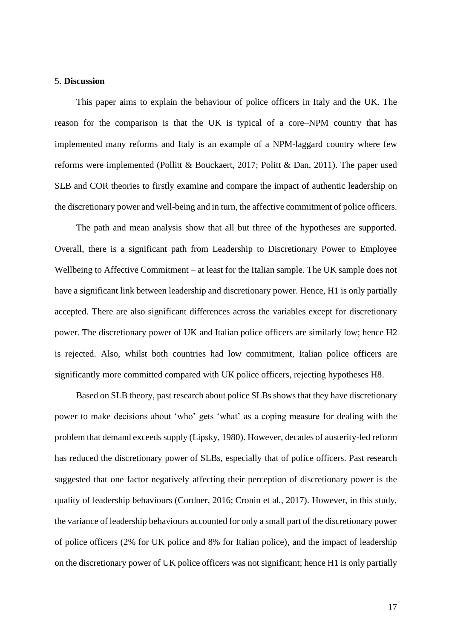#### 5. **Discussion**

This paper aims to explain the behaviour of police officers in Italy and the UK. The reason for the comparison is that the UK is typical of a core–NPM country that has implemented many reforms and Italy is an example of a NPM-laggard country where few reforms were implemented (Pollitt & Bouckaert, 2017; Politt & Dan, 2011). The paper used SLB and COR theories to firstly examine and compare the impact of authentic leadership on the discretionary power and well-being and in turn, the affective commitment of police officers.

The path and mean analysis show that all but three of the hypotheses are supported. Overall, there is a significant path from Leadership to Discretionary Power to Employee Wellbeing to Affective Commitment – at least for the Italian sample. The UK sample does not have a significant link between leadership and discretionary power. Hence, H1 is only partially accepted. There are also significant differences across the variables except for discretionary power. The discretionary power of UK and Italian police officers are similarly low; hence H2 is rejected. Also, whilst both countries had low commitment, Italian police officers are significantly more committed compared with UK police officers, rejecting hypotheses H8.

Based on SLB theory, past research about police SLBs shows that they have discretionary power to make decisions about 'who' gets 'what' as a coping measure for dealing with the problem that demand exceeds supply (Lipsky, 1980). However, decades of austerity-led reform has reduced the discretionary power of SLBs, especially that of police officers. Past research suggested that one factor negatively affecting their perception of discretionary power is the quality of leadership behaviours (Cordner, 2016; Cronin et al., 2017). However, in this study, the variance of leadership behaviours accounted for only a small part of the discretionary power of police officers (2% for UK police and 8% for Italian police), and the impact of leadership on the discretionary power of UK police officers was not significant; hence H1 is only partially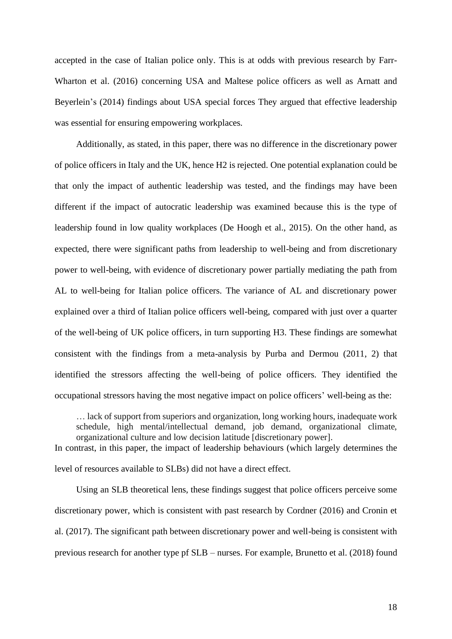accepted in the case of Italian police only. This is at odds with previous research by Farr-Wharton et al. (2016) concerning USA and Maltese police officers as well as Arnatt and Beyerlein's (2014) findings about USA special forces They argued that effective leadership was essential for ensuring empowering workplaces.

Additionally, as stated, in this paper, there was no difference in the discretionary power of police officers in Italy and the UK, hence H2 is rejected. One potential explanation could be that only the impact of authentic leadership was tested, and the findings may have been different if the impact of autocratic leadership was examined because this is the type of leadership found in low quality workplaces (De Hoogh et al., 2015). On the other hand, as expected, there were significant paths from leadership to well-being and from discretionary power to well-being, with evidence of discretionary power partially mediating the path from AL to well-being for Italian police officers. The variance of AL and discretionary power explained over a third of Italian police officers well-being, compared with just over a quarter of the well-being of UK police officers, in turn supporting H3. These findings are somewhat consistent with the findings from a meta-analysis by Purba and Dermou (2011, 2) that identified the stressors affecting the well-being of police officers. They identified the occupational stressors having the most negative impact on police officers' well-being as the:

… lack of support from superiors and organization, long working hours, inadequate work schedule, high mental/intellectual demand, job demand, organizational climate, organizational culture and low decision latitude [discretionary power].

In contrast, in this paper, the impact of leadership behaviours (which largely determines the level of resources available to SLBs) did not have a direct effect.

Using an SLB theoretical lens, these findings suggest that police officers perceive some discretionary power, which is consistent with past research by Cordner (2016) and Cronin et al. (2017). The significant path between discretionary power and well-being is consistent with previous research for another type pf SLB – nurses. For example, Brunetto et al. (2018) found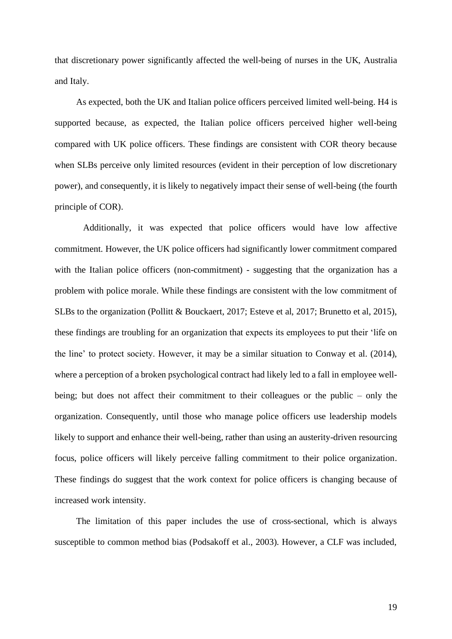that discretionary power significantly affected the well-being of nurses in the UK, Australia and Italy.

As expected, both the UK and Italian police officers perceived limited well-being. H4 is supported because, as expected, the Italian police officers perceived higher well-being compared with UK police officers. These findings are consistent with COR theory because when SLBs perceive only limited resources (evident in their perception of low discretionary power), and consequently, it is likely to negatively impact their sense of well-being (the fourth principle of COR).

 Additionally, it was expected that police officers would have low affective commitment. However, the UK police officers had significantly lower commitment compared with the Italian police officers (non-commitment) - suggesting that the organization has a problem with police morale. While these findings are consistent with the low commitment of SLBs to the organization (Pollitt & Bouckaert, 2017; Esteve et al, 2017; Brunetto et al, 2015), these findings are troubling for an organization that expects its employees to put their 'life on the line' to protect society. However, it may be a similar situation to Conway et al. (2014), where a perception of a broken psychological contract had likely led to a fall in employee wellbeing; but does not affect their commitment to their colleagues or the public – only the organization. Consequently, until those who manage police officers use leadership models likely to support and enhance their well-being, rather than using an austerity-driven resourcing focus, police officers will likely perceive falling commitment to their police organization. These findings do suggest that the work context for police officers is changing because of increased work intensity.

The limitation of this paper includes the use of cross-sectional, which is always susceptible to common method bias (Podsakoff et al., 2003). However, a CLF was included,

19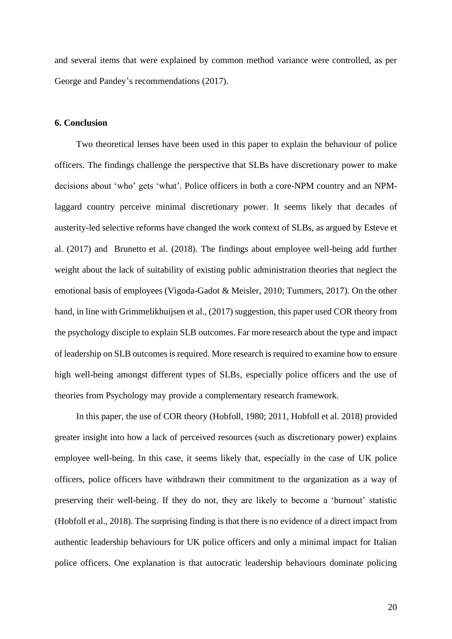and several items that were explained by common method variance were controlled, as per George and Pandey's recommendations (2017).

#### **6. Conclusion**

Two theoretical lenses have been used in this paper to explain the behaviour of police officers. The findings challenge the perspective that SLBs have discretionary power to make decisions about 'who' gets 'what'. Police officers in both a core-NPM country and an NPMlaggard country perceive minimal discretionary power. It seems likely that decades of austerity-led selective reforms have changed the work context of SLBs, as argued by Esteve et al. (2017) and Brunetto et al. (2018). The findings about employee well-being add further weight about the lack of suitability of existing public administration theories that neglect the emotional basis of employees (Vigoda-Gadot & Meisler, 2010; Tummers, 2017). On the other hand, in line with Grimmelikhuijsen et al., (2017) suggestion, this paper used COR theory from the psychology disciple to explain SLB outcomes. Far more research about the type and impact of leadership on SLB outcomes is required. More research is required to examine how to ensure high well-being amongst different types of SLBs, especially police officers and the use of theories from Psychology may provide a complementary research framework.

In this paper, the use of COR theory (Hobfoll, 1980; 2011, Hobfoll et al. 2018) provided greater insight into how a lack of perceived resources (such as discretionary power) explains employee well-being. In this case, it seems likely that, especially in the case of UK police officers, police officers have withdrawn their commitment to the organization as a way of preserving their well-being. If they do not, they are likely to become a 'burnout' statistic (Hobfoll et al., 2018). The surprising finding is that there is no evidence of a direct impact from authentic leadership behaviours for UK police officers and only a minimal impact for Italian police officers. One explanation is that autocratic leadership behaviours dominate policing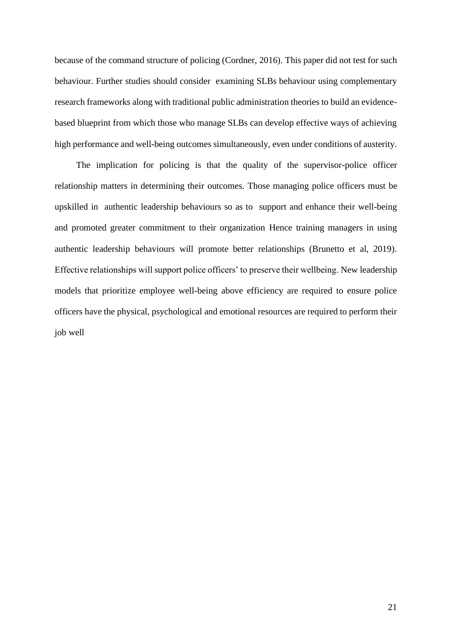because of the command structure of policing (Cordner, 2016). This paper did not test for such behaviour. Further studies should consider examining SLBs behaviour using complementary research frameworks along with traditional public administration theories to build an evidencebased blueprint from which those who manage SLBs can develop effective ways of achieving high performance and well-being outcomes simultaneously, even under conditions of austerity.

The implication for policing is that the quality of the supervisor-police officer relationship matters in determining their outcomes. Those managing police officers must be upskilled in authentic leadership behaviours so as to support and enhance their well-being and promoted greater commitment to their organization Hence training managers in using authentic leadership behaviours will promote better relationships (Brunetto et al, 2019). Effective relationships will support police officers' to preserve their wellbeing. New leadership models that prioritize employee well-being above efficiency are required to ensure police officers have the physical, psychological and emotional resources are required to perform their job well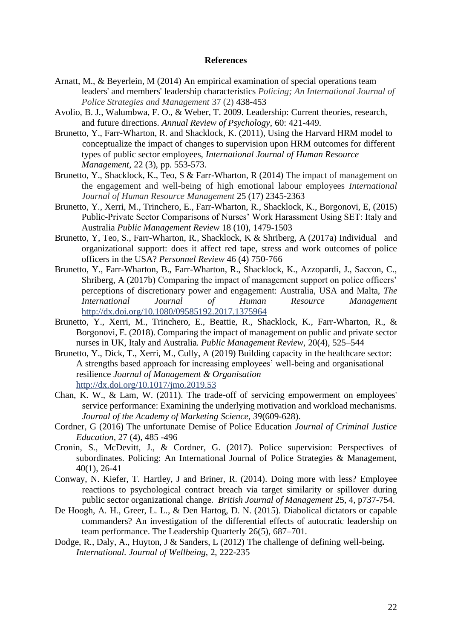#### **References**

- Arnatt, M., & Beyerlein, M (2014) An empirical examination of special operations team leaders' and members' leadership characteristics *Policing; An International Journal of Police Strategies and Management* 37 (2) 438-453
- Avolio, B. J., Walumbwa, F. O., & Weber, T. 2009. Leadership: Current theories, research, and future directions. *Annual Review of Psychology*, 60: 421-449.
- Brunetto, Y., Farr-Wharton, R. and Shacklock, K. (2011), Using the Harvard HRM model to conceptualize the impact of changes to supervision upon HRM outcomes for different types of public sector employees, *International Journal of Human Resource Management*, 22 (3), pp. 553-573.
- Brunetto, Y., Shacklock, K., Teo, S & Farr-Wharton, R (2014) The impact of management on the engagement and well-being of high emotional labour employees *International Journal of Human Resource Management* 25 (17) 2345-2363
- Brunetto, Y., Xerri, M., Trinchero, E., Farr-Wharton, R., Shacklock, K., Borgonovi, E, (2015) Public-Private Sector Comparisons of Nurses' Work Harassment Using SET: Italy and Australia *Public Management Review* 18 (10), 1479-1503
- Brunetto, Y. Teo, S., Farr-Wharton, R., Shacklock, K & Shriberg, A (2017a) Individual and organizational support: does it affect red tape, stress and work outcomes of police officers in the USA? *Personnel Review* 46 (4) 750-766
- Brunetto, Y., Farr-Wharton, B., Farr-Wharton, R., Shacklock, K., Azzopardi, J., Saccon, C., Shriberg, A (2017b) Comparing the impact of management support on police officers' perceptions of discretionary power and engagement: Australia, USA and Malta, *The International Journal of Human Resource Management*  <http://dx.doi.org/10.1080/09585192.2017.1375964>
- Brunetto, Y., Xerri, M., Trinchero, E., Beattie, R., Shacklock, K., Farr-Wharton, R., & Borgonovi, E. (2018). Comparing the impact of management on public and private sector nurses in UK, Italy and Australia*. Public Management Review*, 20(4), 525–544
- Brunetto, Y., Dick, T., Xerri, M., Cully, A (2019) Building capacity in the healthcare sector: A strengths based approach for increasing employees' well-being and organisational resilience *Journal of Management & Organisation*  [http://dx.doi.org/10.1017/jmo.2019.53](https://protect-au.mimecast.com/s/MydACE8w0qtlKG1jcN9hwd?domain=dx.doi.org)
- Chan, K. W., & Lam, W. (2011). The trade-off of servicing empowerment on employees' service performance: Examining the underlying motivation and workload mechanisms. *Journal of the Academy of Marketing Science, 39*(609-628).
- Cordner, G (2016) The unfortunate Demise of Police Education *Journal of Criminal Justice Education,* 27 (4), 485 -496
- Cronin, S., McDevitt, J., & Cordner, G. (2017). Police supervision: Perspectives of subordinates. Policing: An International Journal of Police Strategies & Management, 40(1), 26-41
- Conway, N. Kiefer, T. Hartley, J and Briner, R. (2014). Doing more with less? Employee reactions to psychological contract breach via target similarity or spillover during public sector organizational change. *British Journal of Management* 25, 4, p737-754.
- De Hoogh, A. H., Greer, L. L., & Den Hartog, D. N. (2015). Diabolical dictators or capable commanders? An investigation of the differential effects of autocratic leadership on team performance. The Leadership Quarterly 26(5), 687–701.
- Dodge, R., Daly, A., Huyton, J & Sanders, L (2012) The challenge of defining well-being**.**  *International. Journal of Wellbeing*, 2, 222-235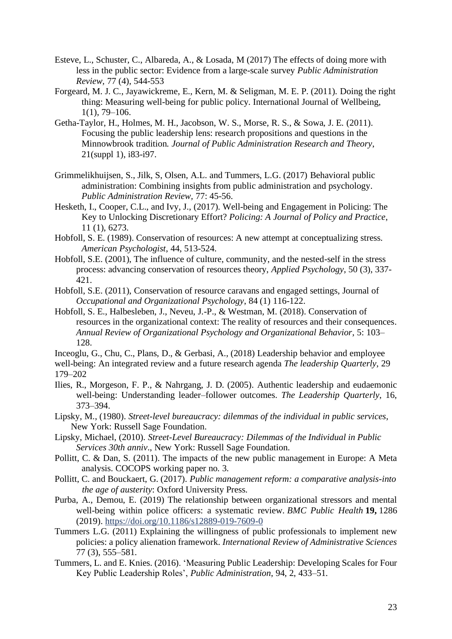- Esteve, L., Schuster, C., Albareda, A., & Losada, M (2017) The effects of doing more with less in the public sector: Evidence from a large-scale survey *Public Administration Review,* 77 (4), 544-553
- Forgeard, M. J. C., Jayawickreme, E., Kern, M. & Seligman, M. E. P. (2011). Doing the right thing: Measuring well-being for public policy. International Journal of Wellbeing, 1(1), 79–106.
- Getha-Taylor, H., Holmes, M. H., Jacobson, W. S., Morse, R. S., & Sowa, J. E. (2011). Focusing the public leadership lens: research propositions and questions in the Minnowbrook tradition*. Journal of Public Administration Research and Theory*, 21(suppl 1), i83-i97.
- Grimmelikhuijsen, S., Jilk, S, Olsen, A.L. and Tummers, L.G. (2017) Behavioral public administration: Combining insights from public administration and psychology. *Public Administration Review,* 77: 45-56.
- Hesketh, I., Cooper, C.L., and Ivy, J., (2017). Well-being and Engagement in Policing: The Key to Unlocking Discretionary Effort? *Policing: A Journal of Policy and Practice*, 11 (1), 6273.
- Hobfoll, S. E. (1989). Conservation of resources: A new attempt at conceptualizing stress. *American Psychologist*, 44, 513-524.
- Hobfoll, S.E. (2001), The influence of culture, community, and the nested-self in the stress process: advancing conservation of resources theory, *Applied Psychology*, 50 (3), 337- 421.
- Hobfoll, S.E. (2011), Conservation of resource caravans and engaged settings, Journal of *Occupational and Organizational Psychology*, 84 (1) 116-122.
- Hobfoll, S. E., Halbesleben, J., Neveu, J.-P., & Westman, M. (2018). Conservation of resources in the organizational context: The reality of resources and their consequences. *Annual Review of Organizational Psychology and Organizational Behavior*, 5: 103– 128.
- Inceoglu, G., Chu, C., Plans, D., & Gerbasi, A., (2018) Leadership behavior and employee well-being: An integrated review and a future research agenda *The leadership Quarterly*, 29 179–202
- Ilies, R., Morgeson, F. P., & Nahrgang, J. D. (2005). Authentic leadership and eudaemonic well-being: Understanding leader–follower outcomes. *The Leadership Quarterly*, 16, 373–394.
- Lipsky, M., (1980). *Street-level bureaucracy: dilemmas of the individual in public services*, New York: Russell Sage Foundation.
- Lipsky, Michael, (2010). *Street-Level Bureaucracy: Dilemmas of the Individual in Public Services 30th anniv*., New York: Russell Sage Foundation.
- Pollitt, C. & Dan, S. (2011). The impacts of the new public management in Europe: A Meta analysis. COCOPS working paper no. 3.
- Pollitt, C. and Bouckaert, G. (2017). *Public management reform: a comparative analysis-into the age of austerity*: Oxford University Press.
- Purba, A., Demou, E. (2019) The relationship between organizational stressors and mental well-being within police officers: a systematic review. *BMC Public Health* **19,** 1286 (2019).<https://doi.org/10.1186/s12889-019-7609-0>
- Tummers L.G. (2011) Explaining the willingness of public professionals to implement new policies: a policy alienation framework. *International Review of Administrative Sciences* 77 (3), 555–581.
- Tummers, L. and E. Knies. (2016). 'Measuring Public Leadership: Developing Scales for Four Key Public Leadership Roles', *Public Administration*, 94, 2, 433–51.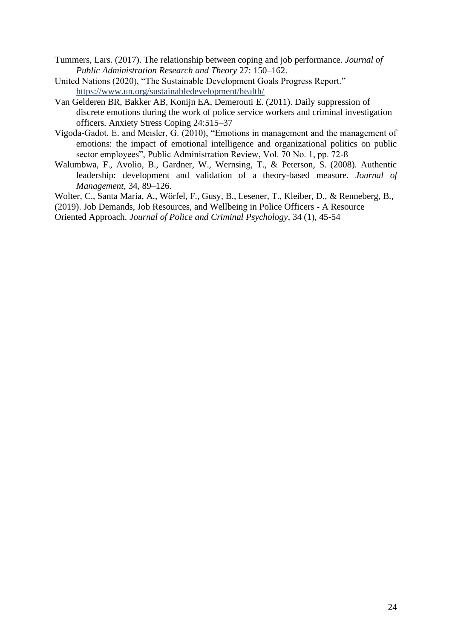- Tummers, Lars. (2017). The relationship between coping and job performance. *Journal of Public Administration Research and Theory* 27: 150–162.
- United Nations (2020), "The Sustainable Development Goals Progress Report." <https://www.un.org/sustainabledevelopment/health/>
- Van Gelderen BR, Bakker AB, Konijn EA, Demerouti E. (2011). Daily suppression of discrete emotions during the work of police service workers and criminal investigation officers. Anxiety Stress Coping 24:515–37
- Vigoda-Gadot, E. and Meisler, G. (2010), "Emotions in management and the management of emotions: the impact of emotional intelligence and organizational politics on public sector employees", Public Administration Review, Vol. 70 No. 1, pp. 72-8
- Walumbwa, F., Avolio, B., Gardner, W., Wernsing, T., & Peterson, S. (2008). Authentic leadership: development and validation of a theory-based measure. *Journal of Management*, 34, 89–126.
- Wolter, C., Santa Maria, A., Wörfel, F., Gusy, B., Lesener, T., Kleiber, D., & Renneberg, B.,
- (2019). Job Demands, Job Resources, and Wellbeing in Police Officers A Resource

Oriented Approach. *Journal of Police and Criminal Psychology*, 34 (1), 45-54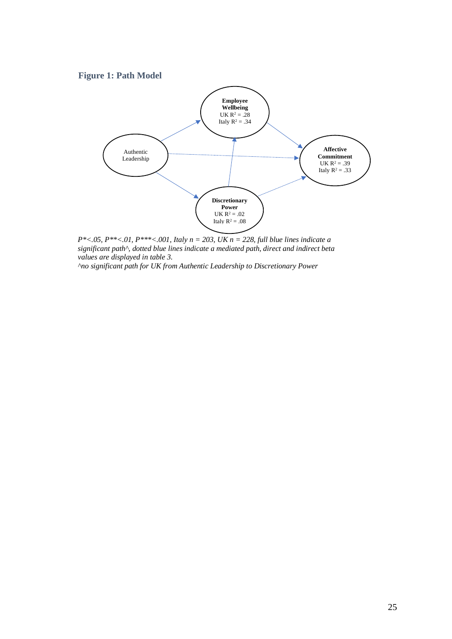## **Figure 1: Path Model**



*P\*<.05, P\*\*<.01, P\*\*\*<.001, Italy n = 203, UK n = 228, full blue lines indicate a significant path^, dotted blue lines indicate a mediated path, direct and indirect beta values are displayed in table 3.*

*^no significant path for UK from Authentic Leadership to Discretionary Power*